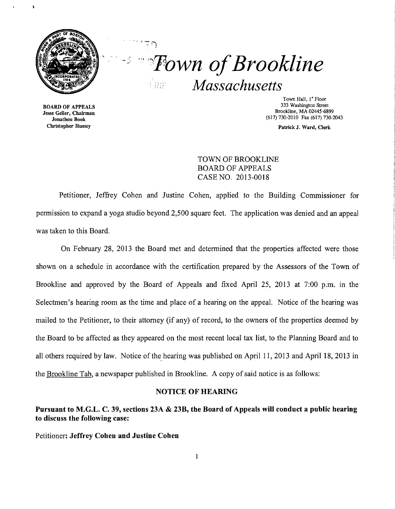

# **Example 1** Superior Sections 2016 *Massachusetts*   $\begin{array}{c} \begin{smallmatrix} 1 & 0 & 0 \\ 0 & 0 & 0 \\ 0 & 0 & 0 \end{smallmatrix} \end{array}$

BOARD OF APPEALS Jesse Geller, Chairman Jonathon Book Christopher Hussey

Town Hall, I" Floor 333 Washington Street Brookline, MA 02445-6899 (617) 730-2010 Fax (617) 730-2043

Patrick J. Ward, Oerk

TOWN OF BROOKLINE BOARD OF APPEALS CASE NO. 2013-0018

Petitioner, Jeffrey Cohen and Justine Cohen, applied to the Building Commissioner for permission to expand a yoga studio beyond 2,500 square feet. The application was denied and an appeal was taken to this Board.

On February 28, 2013 the Board met and determined that the properties affected were those shown on a schedule in accordance with the certification prepared by the Assessors of the Town of Brookline and approved by the Board of Appeals and fixed April 25, 2013 at 7:00 p.m. in the Selectmen's hearing room as the time and place of a hearing on the appeal. Notice of the hearing was mailed to the Petitioner, to their attorney (if any) of record, to the owners of the properties deemed by the Board to be affected as they appeared on the most recent local tax list, to the Planning Board and to all others required by law. Notice of the hearing was published on April 11, 2013 and April 18, 2013 in the Brookline Tab, a newspaper published in Brookline. A copy of said notice is as follows:

#### NOTICE OF HEARING

# Pursuant to M.G.L. C. 39, sections 23A & 23B, the Board of Appeals will conduct a public hearing to discuss the following case:

Petitioner: Jeffrey Cohen and Justine Cohen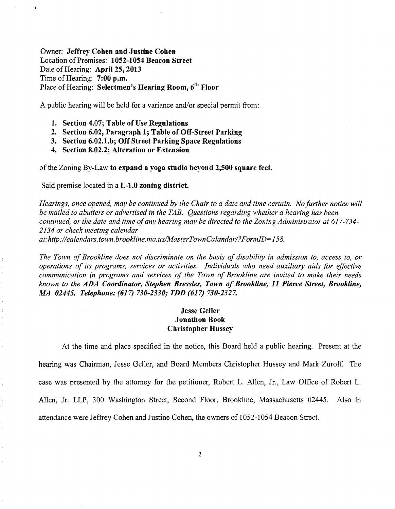Owner: Jeffrey Cohen and Justine Cohen Location of Premises: 1052-1054 Beacon Street Date of Hearing: April 25, 2013 Time of Hearing: 7:00 p.m. Place of Hearing: Selectmen's Hearing Room, 6<sup>th</sup> Floor

A public hearing will be held for a variance and/or special permit from:

- 1. Section 4.07; Table of Use Regulations
- 2. Section 6.02, Paragraph 1; Table of Off-Street Parking
- 3. Section 6.02.1.b; Off Street Parking Space Regulations
- 4. Section 8.02.2; Alteration or Extension

of the Zoning By-Law to expand a yoga studio beyond 2,500 square feet.

Said premise located in a L-l.O zoning district.

*Hearings, once opened, may be continued by the Chair to a date and time certain. No further notice will be mailed to abutters or advertised in the TAB. Questions regarding whether a hearing has been continued, or the date and time ofany hearing may be directed to the Zoning Administrator at* 617-734 *2134 or check meeting calendar at: http://calendars.town.brookline.ma.usIMasterTownCalandarl? F ormID=* 158.

*The Town of Brookline does not discriminate on the basis of disability in admission to, access to, or operations of its programs, services or activities. Individuals who need auxiliary aids for effective communication in programs and services of the Town of Brookline are invited to make their needs known to the ADA Coordinator, Stephen Bressler, Town of Brookline,* 11 *Pierce Street, Brookline, MA 02445. Telephone:* (617) *730-2330,' TDD* (617) *730-2327.* 

# Jesse Geller Jonathon Book Christopher Hussey

At the time and place specified in the notice, this Board held a public hearing. Present at the hearing was Chairman, Jesse Geller, and Board Members Christopher Hussey and Mark Zuroff. The case was presented by the attorney for the petitioner, Robert L. Allen, Jr., Law Office of Robert L. Allen, Jr. LLP, 300 Washington Street, Second Floor, Brookline, Massachusetts 02445. Also in attendance were Jeffrey Cohen and Justine Cohen, the owners of 1052-1054 Beacon Street.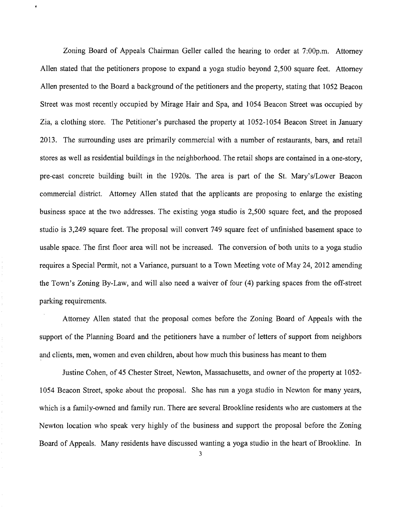Zoning Board of Appeals Chairman Geller called the hearing to order at 7:00p.m. Attorney Allen stated that the petitioners propose to expand a yoga studio beyond 2,500 square feet. Attorney Allen presented to the Board a background of the petitioners and the property, stating that 1052 Beacon Street was most recently occupied by Mirage Hair and Spa, and 1054 Beacon Street was occupied by Zia, a clothing store. The Petitioner's purchased the property at 1052-1054 Beacon Street in January 2013. The surrounding uses are primarily commercial with a number of restaurants, bars, and retail stores as well as residential buildings in the neighborhood. The retail shops are contained in a one-story, pre-cast concrete building built in the 1920s. The area is part of the S1. Mary's/Lower Beacon commercial district. Attorney Allen stated that the applicants are proposing to enlarge the existing business space at the two addresses. The existing yoga studio is 2,500 square feet, and the proposed studio is 3,249 square feet. The proposal will convert 749 square feet of unfinished basement space to usable space. The first floor area will not be increased. The conversion of both units to a yoga studio requires a Special Permit, not a Variance, pursuant to a Town Meeting vote of May 24, 2012 amending the Town's Zoning By-Law, and will also need a waiver of four (4) parking spaces from the off-street parking requirements.

Attorney Allen stated that the proposal comes before the Zoning Board of Appeals with the support of the Planning Board and the petitioners have a number of letters of support from neighbors and clients, men, women and even children, about how much this business has meant to them

Justine Cohen, of 45 Chester Street, Newton, Massachusetts, and owner of the property at 1052 1054 Beacon Street, spoke about the proposal. She has run a yoga studio in Newton for many years, which is a family-owned and family run. There are several Brookline residents who are customers at the Newton location who speak very highly of the business and support the proposal before the Zoning Board of Appeals. Many residents have discussed wanting a yoga studio in the heart of Brookline. In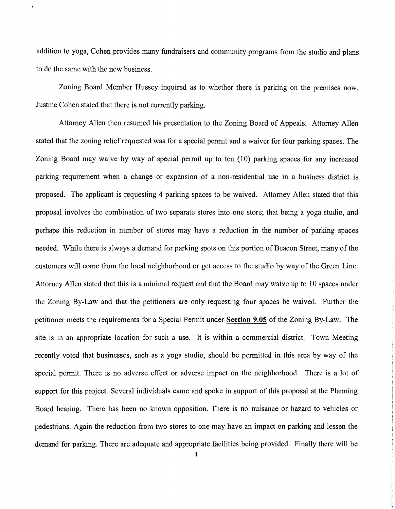addition to yoga, Cohen provides many fundraisers and community programs from the studio and plans to do the same with the new business.

Zoning Board Member Hussey inquired as to whether there is parking on the premises now. Justine Cohen stated that there is not currently parking.

Attorney Allen then resumed his presentation to the Zoning Board of Appeals. Attorney Allen stated that the zoning relief requested was for a special permit and a waiver for four parking spaces. The Zoning Board may waive by way of special permit up to ten (10) parking spaces for any increased parking requirement when a change or expansion of a non-residential use in a business district is proposed. The applicant is requesting 4 parking spaces to be waived. Attorney Allen stated that this proposal involves the combination of two separate stores into one store; that being a yoga studio, and perhaps this reduction in number of stores may have a reduction in the number of parking spaces needed. While there is always a demand for parking spots on this portion of Beacon Street, many of the customers will come from the local neighborhood or get access to the studio by way of the Green Line. Attorney Allen stated that this is a minimal request and that the Board may waive up to 10 spaces under the Zoning By-Law and that the petitioners are only requesting four spaces be waived. Further the petitioner meets the requirements for a Special Permit under **Section 9.05** of the Zoning By-Law. The site is in an appropriate location for such a use. It is within a commercial district. Town Meeting recently voted that businesses, such as a yoga studio, should be permitted in this area by way of the special permit. There is no adverse effect or adverse impact on the neighborhood. There is a lot of support for this project. Several individuals came and spoke in support of this proposal at the Planning Board hearing. There has been no known opposition. There is no nuisance or hazard to vehicles or pedestrians. Again the reduction from two stores to one may have an impact on parking and lessen the demand for parking. There are adequate and appropriate facilities being provided. Finally there will be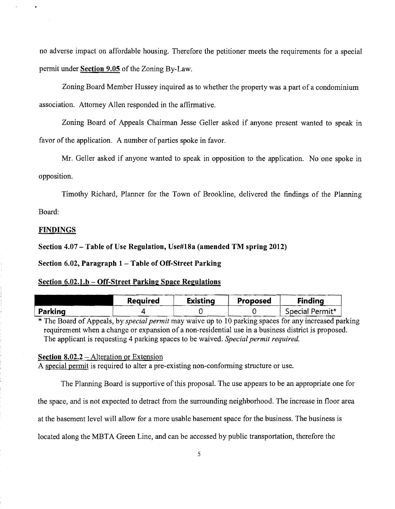no adverse impact on affordable housing. Therefore the petitioner meets the requirements for a special permit under **Section 9.05** of the Zoning By-Law.

Zoning Board Member Hussey inquired as to whether the property was a part of a condominium association. Attorney Allen responded in the affirmative.

Zoning Board of Appeals Chairman Jesse Geller asked if anyone present wanted to speak in favor of the application. A number of parties spoke in favor.

Mr. Geller asked if anyone wanted to speak in opposition to the application. No one spoke in opposition.

Timothy Richard, Planner for the Town of Brookline, delivered the findings of the Planning

Board:

#### **FINDINGS**

**Section 4.07 - Table of Use Regulation, Use#18a (amended TM spring 2012)** 

**Section 6.02, Paragraph 1 - Table of** Off~Street **Parking** 

#### **Section 6.02.1.b** - Off~Street **Parking Space Regulations**

|                | <b>Required</b> | Existing | Proposed | <b>Finding</b>  |
|----------------|-----------------|----------|----------|-----------------|
| <b>Parking</b> |                 |          |          | Special Permit* |

\* The Board of Appeals, by *special permit* may waive up to 10 parking spaces for any increased parking requirement when a change or expansion of a non-residential use in a business district is proposed. The applicant is requesting 4 parking spaces to be waived. *Special permit required.* 

# **Section 8.02.2 - Alteration or Extension**

A special permit is required to alter a pre-existing non-conforming structure or use.

The Planning Board is supportive of this proposal. The use appears to be an appropriate one for

the space, and is not expected to detract from the surrounding neighborhood. The increase in floor area

at the basement level will allow for a more usable basement space for the business. The business is

located along the MBTA Green Line, and can be accessed by public transportation, therefore the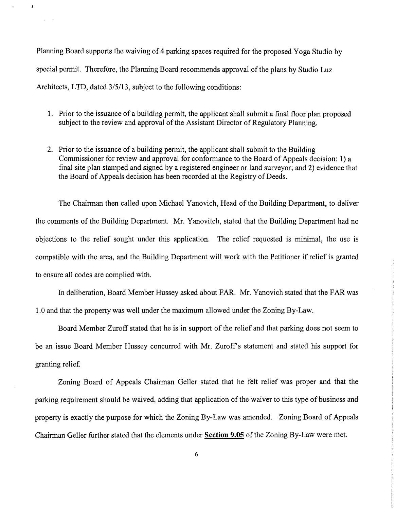Planning Board supports the waiving of 4 parking spaces required for the proposed Yoga Studio by special permit. Therefore, the Planning Board recommends approval of the plans by Studio Luz Architects, LTD, dated 3/5/13, subject to the following conditions:

- 1. Prior to the issuance of a building permit, the applicant shall submit a final floor plan proposed subject to the review and approval of the Assistant Director of Regulatory Planning.
- 2. Prior to the issuance of a building permit, the applicant shall submit to the Building Commissioner for review and approval for conformance to the Board of Appeals decision: 1) a final site plan stamped and signed by a registered engineer or land surveyor; and 2) evidence that the Board of Appeals decision has been recorded at the Registry of Deeds.

The Chairman then called upon Michael Yanovich, Head of the Building Department, to deliver the comments of the Building Department. Mr. Yanovitch, stated that the Building Department had no objections to the relief sought under this application. The relief requested is minimal, the use is compatible with the area, and the Building Department will work with the Petitioner if relief is granted to ensure all codes are complied with.

In deliberation, Board Member Hussey asked about FAR. Mr. Yanovich stated that the FAR was 1.0 and that the property was well under the maximum allowed under the Zoning By-Law.

Board Member Zuroff stated that he is in support of the relief and that parking does not seem to be an issue Board Member Hussey concurred with Mr. Zuroff's statement and stated his support for granting relief.

Zoning Board of Appeals Chairman Geller stated that he felt relief was proper and that the parking requirement should be waived, adding that application of the waiver to this type of business and property is exactly the purpose for which the Zoning By-Law was amended. Zoning Board of Appeals Chairman Geller further stated that the elements under **Section 9.05** of the Zoning By-Law were met.